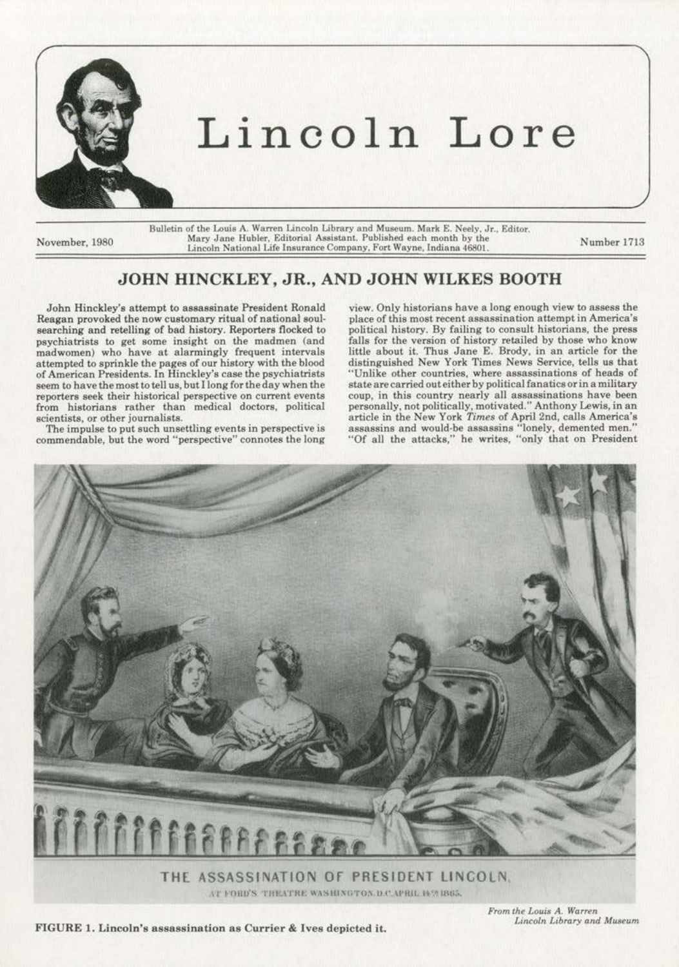

## Lincoln Lore

Bulletin of the Louis A. Warren Lincoln Library and Museum. Mark E. Neely, Jr., Editor. November, 1980 Mary Jane Hubler, Editorial Assistant. Published each month by the Mary Jane Hubler, Editorial Assistant. Published each month by the Number 1713<br>Lincoln National Life Insurance Company, Fort Wayne, Indiana 46801.

## JOHN HINCKLEY, JR., AND JOHN WILKES BOOTH

John Hinckley's attempt to asaassinate President Ronald Reagan provoked the now customary ritual of national soulsearching and retelling of bad history. Reporters flocked to psychiatrists to get some insight on the madmen (and madwomen) who have at alarmingly frequent intervals attempted to sprinkle the pages of our history with the blood of American Presidents. In Hinckley's case the psychiatrists seem to have the most to tell us, but !long for the day when the reporters seek their historical perspective on current events from historians rather than medical doctors, political scientists, or other journalists.

The impulse to put such unsettling events in perspective is commendable, but the word "perspective" connotes the long

view. Only historians have a long enough view to assess the place of this most recent assassination attempt in America's political history. By failing to consult historians, the press falls for the version of history retailed by those who know little about it. Thus Jane E. Brody, in an article for the distinguished New York Times News Service, tells us that "Unlike other countries, where assassinations of heads of state are carried out either by political fanatics or in a military coup, in this country nearly all assassinations have been personally, not politically, motivated." Anthony Lewis, in an article in the New York *Times* of April 2nd, calls America's assassins and would·be assassins "lonely, demented men." "Of all the attacks," he writes, "only that on President



 $\Lambda$ T FORD'S THEATRE WASHINGTON.D.C.APRIL II VI IBS5.

*From the Louis A. Warren* 

FIGURE 1. Lincoln's assassination as Currier & Ives depicted it.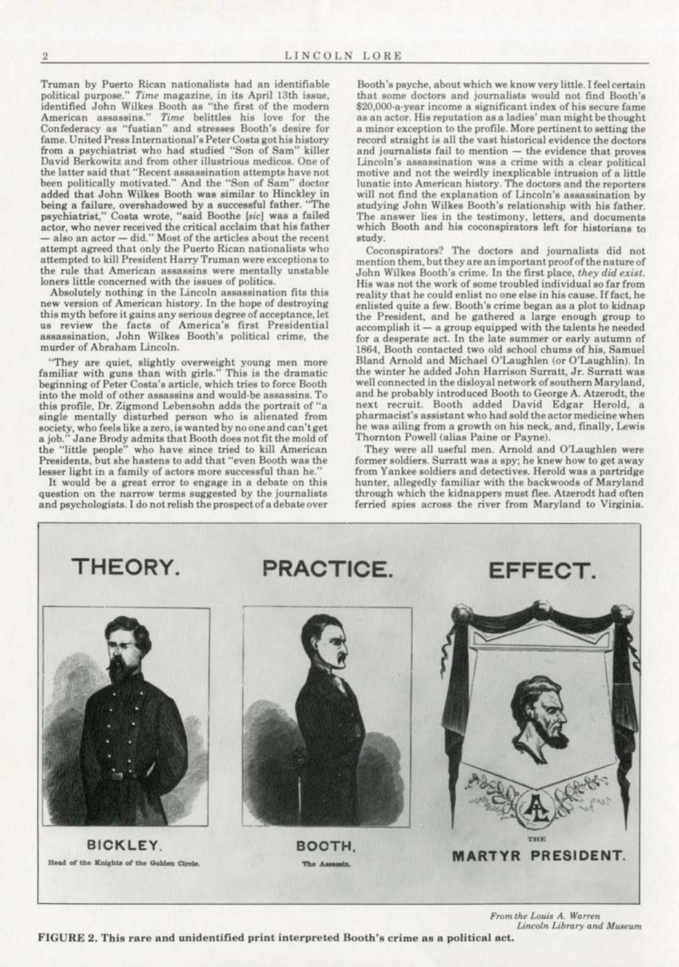Truman by Puerto Rican nationalists had an identifiable political purpose." *Time* magazine, in its April 13th issue, identified John Wilkes Booth as ''the first of the modern American assassins." Time belittles his love for the Confederacy as "fustian" and stresses Booth's desire for fame. United Press International's Peter Costa got his history from a psychiatrist who had studied "Son of Sam" killer **David Berkowitz and from other illustrious medicos. One of the latter said that "Recent assassination attempts have not**  been politically motivated." And the "Son of Sam" doctor added that John Wilkes Booth was similar to Hinckley in being a failure, overshadowed by a successful father. "The psychiatrist," Costa wrote, "said Boothe [sic] was a failed actor, who never received the critical acclaim that his father  $-$  also an actor  $-$  did." Most of the articles about the recent attempt agreed that only the Puerto Rican nationalists who **attempted to kill President Harry Truman were exceptions to the rule that. American assassins were mentally unstable loners little concerned with the issues of politics.** 

**Absolutely nothing in the Lincoln assassination fits this new version of American history. In the hope of destroying**  this myth before it gains any serious degree of acceptance, let **us review the facts of America's first Presidential assassination, John Wi1kes Booth's political crime, the**  murder of Abraham Lincoln.

**"They are quiet, slightly overweight young men more familiar with guns than with girls.'' This is the dramatic**  beginning of Peter Costa's article, which tries to force Booth **into the mold of other assassins and would·be assassins. To**  this profile, Or. Zigmond Lebensohn adds the portrait of "a **single mentally disturbed person who is alienated from society, who feels like a zero, is wanted by no one and can'tget**  a job." Jane Brody admits that Booth does not fit the mold of the "little people" who have since tried to kill American Presidents, but she hastens to add that "even Booth was the **lesser light in a family of actors more successful than he."** 

It would be a great error to engage in a debate on this **question on the narrow terms suggested by the journalists**  and psychologists. I do not relish the prospect of a debate over

**Booth's psyche, about whjch we know very little. I feel certain**  that some doctors and journalists would not find Booth's **S20,000·a·year income a significant index of his secure fame as an actor. His reputation as a ladies' man might be thought**  a minor exception to the profile. More pertinent to setting the record straight is all the vast historical evidence the doctors and journalists fail to mention - the evidence that proves **Lincoln's assassination was a crime with a clear political motive and not the weirdly inexplicable intrusion of a little lunatic into American history. The doctors and the reporters will not find the explanation of Lincoln's assassination by**  studying John Wilkes Booth's relationship with his father. **The answer lies in the testimony, letters, and documents**  which Booth and his coconspirators left for historians to study.

Coconspirators? The doctors and journalists did not mention them, but they are an important proof of the nature of John Wilkes Booth's crime. In the first place, *they did exist.*  **His was not the work of some troubled individual so far from**  reality that he could enlist no one else in his cause. If fact, he **enlisted quite a few. Booth's crime began as a plot to kidnap**  the President, and he gathered a large enough group to accomplish it - a group equipped with the talents he needed **for a desperate act. In the late summer or early autumn of**  1864, Booth contacted two old school chums of his. Samuel Bland Arnold and Michael O'Laugblen (or O'Laughlin). In the winter he added John Harrison Surratt, Jr. Surratt was **well connected in the disloyal network of southern Maryland,**  and he probably introduced Booth to George A. Atzerodt, the next recruit. Booth added David Edgar Herold, a pharmacist's assistant who had sold the actor medicine when **he was ailing from a growth on his neck, and, finally, Lewis**  Thornton Powell (alias Paine or Payne).

They were all useful men. Arnold and O'Laughlen were **former soldiers. Surratt was a spy; he knew how to get away**  from Yankee soldiers and detectives. Herold was a partridge hunter, allegedly familiar with the backwoods of Maryland through which the kidnappers must flee. Atzerodt had often **ferried spies across the river from Maryland to Virginia.** 



*From the Louis* **A.** *Warren*  Lincoln Library and Museum

FIGURE 2. This rare and unidentified print interpreted Booth's crime as a political act.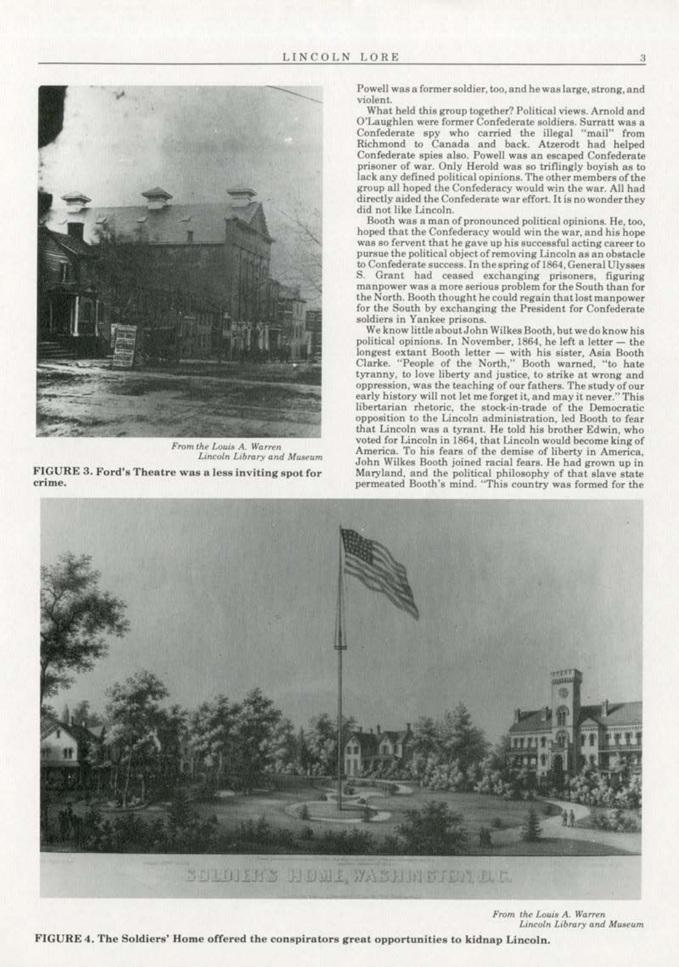

 $From the Louis A. Warren$ *Uncofn Library ond Museum*  FIGURE 3. Ford's Theatre was a less inviting spot for **crime.** 

**Powel1 was a former soldier, too, and be was large, strong, and violent.** 

What held this group together? Political views. Arnold and **O'L&ughlen were former Confederate soldiers. Surratt was a**  Confederate spy who carried the illegal "mail" from Richmond to Canada and back. Atzerodt had helped Confederate spies also. Powell was an escaped Confederate prisoner of war. Only Herold was so triflingly boyish as to lack any defined political opinions. The other members of the group all hoped the Confederacy would win the war. All had directly aided the Confederate war effort. It is no wonder they<br>did not like Lincoln.

Booth was a man of pronounced political opinions. He, too, hoped that the Confederacy would win the war, and his hope **was so fervent that he gave up his suceessfuJ acting career to pursue the political object of removing Lincoln as an obstacle**  to Confederate success. In thespringof1864, General Ulysses S. Grant had ceased exchanging prisoners, figuring **manpower was a more serious problem for the South than for**  the North. Booth thought he could regain that lost manpawer for the South by exchanging the President for Confederate soldiers in Yankee prisons.

We know littleaboutJohn Wilkes Booth, butwedoknow his political opinions. In November, 1864, he left a letter- the **longest extant Booth letter - with his sister, Asia Booth**  Clarke. "People of the North," Booth warned, "to hate **tyranny, to love liberty and justice, to strike at wrong and oppression, was the teaching of our fathers. The study of our early history will not let me forget lt. and may it never."This libertarian rhetoric, the stock·in-trade of the Democratic oppOsition to the Lincoln administration, led Booth to fear**  that Lincoln was a tyrant. He told his brother Edwin, who voted for Lincoln in 1864, that Lincoln would become king of **America. To his fears of the demise of liberty in America,**  John Wilkes Booth joined racial fears. He had grown up in Maryland, and the political philosophy of that slave stale permeated Booth's mind. "This country was formed for the



 $From the Louis A. Warren$  $Lin$ coln Library and Museum

FIGURE 4. The Soldiers' Home offered the conspirators great opportunities to kidnap Lincoln.